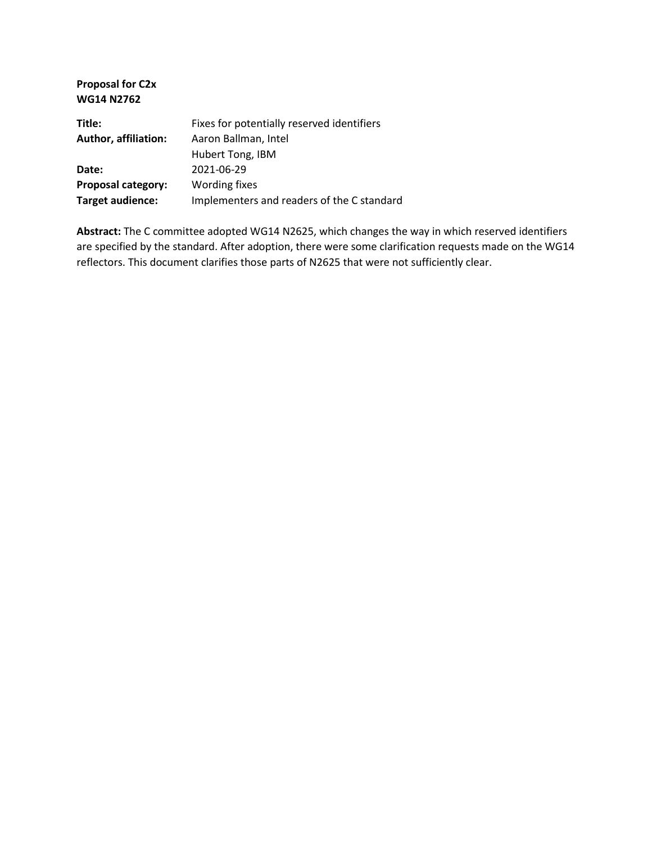| <b>WG14 N2762</b>           |                                            |
|-----------------------------|--------------------------------------------|
| Title:                      | Fixes for potentially reserved identifiers |
| <b>Author, affiliation:</b> | Aaron Ballman, Intel                       |
|                             | <b>Hubert Tong, IBM</b>                    |
| Date:                       | 2021-06-29                                 |
| <b>Proposal category:</b>   | Wording fixes                              |
| <b>Target audience:</b>     | Implementers and readers of the C standard |
|                             |                                            |

**Proposal for C2x**

**Abstract:** The C committee adopted WG14 N2625, which changes the way in which reserved identifiers are specified by the standard. After adoption, there were some clarification requests made on the WG14 reflectors. This document clarifies those parts of N2625 that were not sufficiently clear.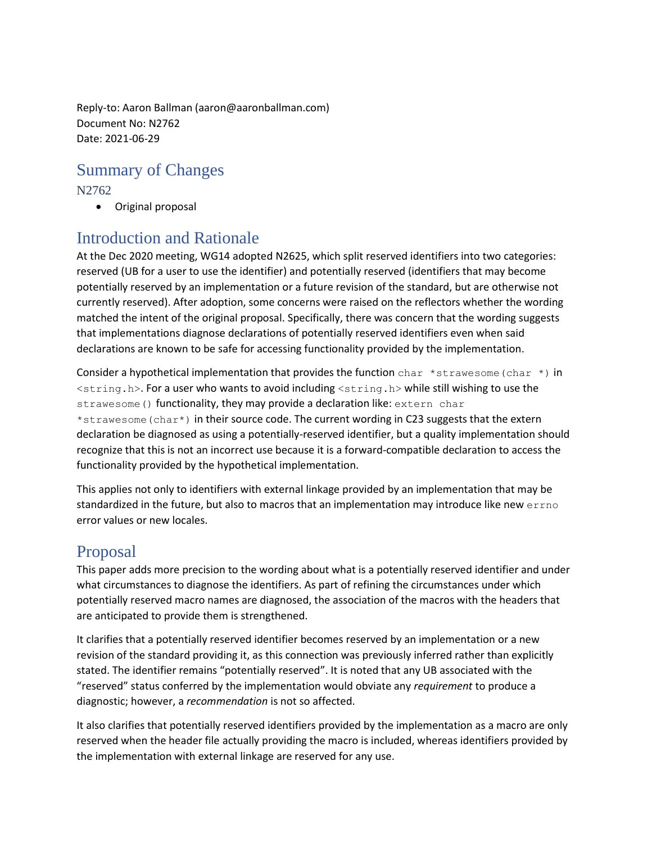Reply-to: Aaron Ballman (aaron@aaronballman.com) Document No: N2762 Date: 2021-06-29

# Summary of Changes

### N2762

• Original proposal

## Introduction and Rationale

At the Dec 2020 meeting, WG14 adopted N2625, which split reserved identifiers into two categories: reserved (UB for a user to use the identifier) and potentially reserved (identifiers that may become potentially reserved by an implementation or a future revision of the standard, but are otherwise not currently reserved). After adoption, some concerns were raised on the reflectors whether the wording matched the intent of the original proposal. Specifically, there was concern that the wording suggests that implementations diagnose declarations of potentially reserved identifiers even when said declarations are known to be safe for accessing functionality provided by the implementation.

Consider a hypothetical implementation that provides the function char \*strawesome (char \*) in  $\le$ tring.h>. For a user who wants to avoid including  $\le$ tring.h> while still wishing to use the strawesome() functionality, they may provide a declaration like: extern char

\*strawesome(char\*) in their source code. The current wording in C23 suggests that the extern declaration be diagnosed as using a potentially-reserved identifier, but a quality implementation should recognize that this is not an incorrect use because it is a forward-compatible declaration to access the functionality provided by the hypothetical implementation.

This applies not only to identifiers with external linkage provided by an implementation that may be standardized in the future, but also to macros that an implementation may introduce like new errno error values or new locales.

# Proposal

This paper adds more precision to the wording about what is a potentially reserved identifier and under what circumstances to diagnose the identifiers. As part of refining the circumstances under which potentially reserved macro names are diagnosed, the association of the macros with the headers that are anticipated to provide them is strengthened.

It clarifies that a potentially reserved identifier becomes reserved by an implementation or a new revision of the standard providing it, as this connection was previously inferred rather than explicitly stated. The identifier remains "potentially reserved". It is noted that any UB associated with the "reserved" status conferred by the implementation would obviate any *requirement* to produce a diagnostic; however, a *recommendation* is not so affected.

It also clarifies that potentially reserved identifiers provided by the implementation as a macro are only reserved when the header file actually providing the macro is included, whereas identifiers provided by the implementation with external linkage are reserved for any use.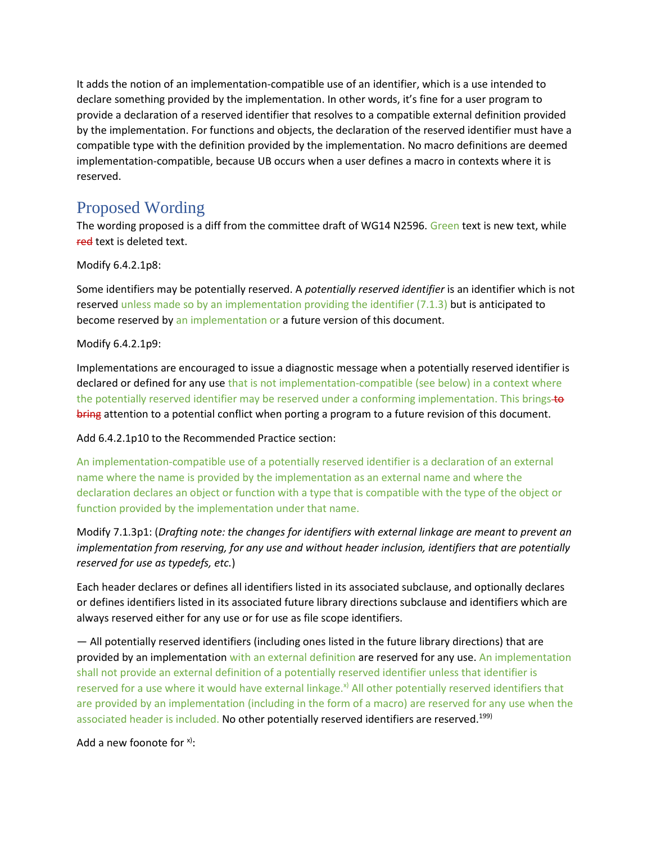It adds the notion of an implementation-compatible use of an identifier, which is a use intended to declare something provided by the implementation. In other words, it's fine for a user program to provide a declaration of a reserved identifier that resolves to a compatible external definition provided by the implementation. For functions and objects, the declaration of the reserved identifier must have a compatible type with the definition provided by the implementation. No macro definitions are deemed implementation-compatible, because UB occurs when a user defines a macro in contexts where it is reserved.

## Proposed Wording

The wording proposed is a diff from the committee draft of WG14 N2596. Green text is new text, while red text is deleted text.

Modify 6.4.2.1p8:

Some identifiers may be potentially reserved. A *potentially reserved identifier* is an identifier which is not reserved unless made so by an implementation providing the identifier (7.1.3) but is anticipated to become reserved by an implementation or a future version of this document.

#### Modify 6.4.2.1p9:

Implementations are encouraged to issue a diagnostic message when a potentially reserved identifier is declared or defined for any use that is not implementation-compatible (see below) in a context where the potentially reserved identifier may be reserved under a conforming implementation. This brings-to bring attention to a potential conflict when porting a program to a future revision of this document.

#### Add 6.4.2.1p10 to the Recommended Practice section:

An implementation-compatible use of a potentially reserved identifier is a declaration of an external name where the name is provided by the implementation as an external name and where the declaration declares an object or function with a type that is compatible with the type of the object or function provided by the implementation under that name.

### Modify 7.1.3p1: (*Drafting note: the changes for identifiers with external linkage are meant to prevent an implementation from reserving, for any use and without header inclusion, identifiers that are potentially reserved for use as typedefs, etc.*)

Each header declares or defines all identifiers listed in its associated subclause, and optionally declares or defines identifiers listed in its associated future library directions subclause and identifiers which are always reserved either for any use or for use as file scope identifiers.

— All potentially reserved identifiers (including ones listed in the future library directions) that are provided by an implementation with an external definition are reserved for any use. An implementation shall not provide an external definition of a potentially reserved identifier unless that identifier is reserved for a use where it would have external linkage.<sup>x)</sup> All other potentially reserved identifiers that are provided by an implementation (including in the form of a macro) are reserved for any use when the associated header is included. No other potentially reserved identifiers are reserved.<sup>199)</sup>

#### Add a new foonote for  $x$ ).